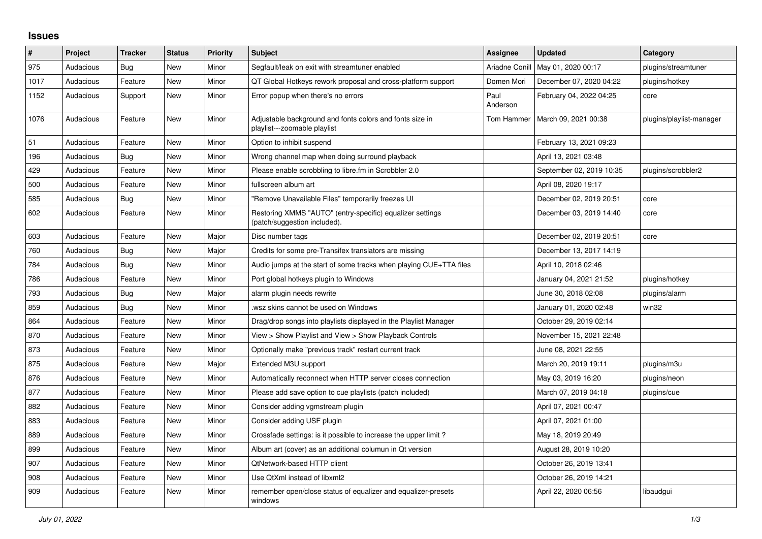## **Issues**

| #    | Project   | <b>Tracker</b> | <b>Status</b> | <b>Priority</b> | <b>Subject</b>                                                                            | <b>Assignee</b>  | <b>Updated</b>           | Category                 |
|------|-----------|----------------|---------------|-----------------|-------------------------------------------------------------------------------------------|------------------|--------------------------|--------------------------|
| 975  | Audacious | <b>Bug</b>     | New           | Minor           | Segfault/leak on exit with streamtuner enabled                                            | Ariadne Conill   | May 01, 2020 00:17       | plugins/streamtuner      |
| 1017 | Audacious | Feature        | New           | Minor           | QT Global Hotkeys rework proposal and cross-platform support                              | Domen Mori       | December 07, 2020 04:22  | plugins/hotkey           |
| 1152 | Audacious | Support        | New           | Minor           | Error popup when there's no errors                                                        | Paul<br>Anderson | February 04, 2022 04:25  | core                     |
| 1076 | Audacious | Feature        | <b>New</b>    | Minor           | Adjustable background and fonts colors and fonts size in<br>playlist---zoomable playlist  | Tom Hammer       | March 09, 2021 00:38     | plugins/playlist-manager |
| 51   | Audacious | Feature        | <b>New</b>    | Minor           | Option to inhibit suspend                                                                 |                  | February 13, 2021 09:23  |                          |
| 196  | Audacious | <b>Bug</b>     | New           | Minor           | Wrong channel map when doing surround playback                                            |                  | April 13, 2021 03:48     |                          |
| 429  | Audacious | Feature        | New           | Minor           | Please enable scrobbling to libre.fm in Scrobbler 2.0                                     |                  | September 02, 2019 10:35 | plugins/scrobbler2       |
| 500  | Audacious | Feature        | New           | Minor           | fullscreen album art                                                                      |                  | April 08, 2020 19:17     |                          |
| 585  | Audacious | Bug            | New           | Minor           | "Remove Unavailable Files" temporarily freezes UI                                         |                  | December 02, 2019 20:51  | core                     |
| 602  | Audacious | Feature        | New           | Minor           | Restoring XMMS "AUTO" (entry-specific) equalizer settings<br>(patch/suggestion included). |                  | December 03, 2019 14:40  | core                     |
| 603  | Audacious | Feature        | <b>New</b>    | Major           | Disc number tags                                                                          |                  | December 02, 2019 20:51  | core                     |
| 760  | Audacious | Bug            | New           | Major           | Credits for some pre-Transifex translators are missing                                    |                  | December 13, 2017 14:19  |                          |
| 784  | Audacious | Bug            | <b>New</b>    | Minor           | Audio jumps at the start of some tracks when playing CUE+TTA files                        |                  | April 10, 2018 02:46     |                          |
| 786  | Audacious | Feature        | <b>New</b>    | Minor           | Port global hotkeys plugin to Windows                                                     |                  | January 04, 2021 21:52   | plugins/hotkey           |
| 793  | Audacious | Bug            | New           | Major           | alarm plugin needs rewrite                                                                |                  | June 30, 2018 02:08      | plugins/alarm            |
| 859  | Audacious | Bug            | New           | Minor           | wsz skins cannot be used on Windows                                                       |                  | January 01, 2020 02:48   | win32                    |
| 864  | Audacious | Feature        | New           | Minor           | Drag/drop songs into playlists displayed in the Playlist Manager                          |                  | October 29, 2019 02:14   |                          |
| 870  | Audacious | Feature        | <b>New</b>    | Minor           | View > Show Playlist and View > Show Playback Controls                                    |                  | November 15, 2021 22:48  |                          |
| 873  | Audacious | Feature        | <b>New</b>    | Minor           | Optionally make "previous track" restart current track                                    |                  | June 08, 2021 22:55      |                          |
| 875  | Audacious | Feature        | New           | Major           | Extended M3U support                                                                      |                  | March 20, 2019 19:11     | plugins/m3u              |
| 876  | Audacious | Feature        | New           | Minor           | Automatically reconnect when HTTP server closes connection                                |                  | May 03, 2019 16:20       | plugins/neon             |
| 877  | Audacious | Feature        | New           | Minor           | Please add save option to cue playlists (patch included)                                  |                  | March 07, 2019 04:18     | plugins/cue              |
| 882  | Audacious | Feature        | New           | Minor           | Consider adding vgmstream plugin                                                          |                  | April 07, 2021 00:47     |                          |
| 883  | Audacious | Feature        | New           | Minor           | Consider adding USF plugin                                                                |                  | April 07, 2021 01:00     |                          |
| 889  | Audacious | Feature        | <b>New</b>    | Minor           | Crossfade settings: is it possible to increase the upper limit?                           |                  | May 18, 2019 20:49       |                          |
| 899  | Audacious | Feature        | New           | Minor           | Album art (cover) as an additional columun in Qt version                                  |                  | August 28, 2019 10:20    |                          |
| 907  | Audacious | Feature        | New           | Minor           | QtNetwork-based HTTP client                                                               |                  | October 26, 2019 13:41   |                          |
| 908  | Audacious | Feature        | New           | Minor           | Use QtXml instead of libxml2                                                              |                  | October 26, 2019 14:21   |                          |
| 909  | Audacious | Feature        | New           | Minor           | remember open/close status of equalizer and equalizer-presets<br>windows                  |                  | April 22, 2020 06:56     | libaudgui                |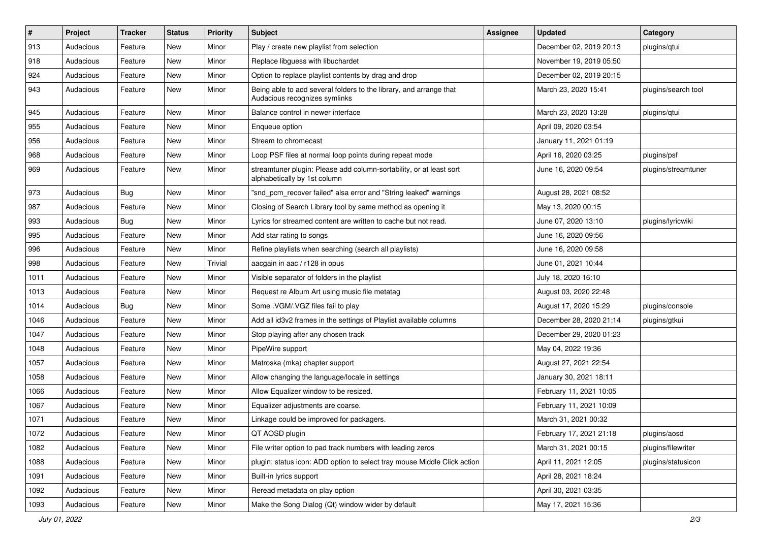| $\vert$ # | Project   | <b>Tracker</b> | <b>Status</b> | <b>Priority</b> | <b>Subject</b>                                                                                      | <b>Assignee</b> | <b>Updated</b>          | Category            |
|-----------|-----------|----------------|---------------|-----------------|-----------------------------------------------------------------------------------------------------|-----------------|-------------------------|---------------------|
| 913       | Audacious | Feature        | New           | Minor           | Play / create new playlist from selection                                                           |                 | December 02, 2019 20:13 | plugins/qtui        |
| 918       | Audacious | Feature        | New           | Minor           | Replace libguess with libuchardet                                                                   |                 | November 19, 2019 05:50 |                     |
| 924       | Audacious | Feature        | New           | Minor           | Option to replace playlist contents by drag and drop                                                |                 | December 02, 2019 20:15 |                     |
| 943       | Audacious | Feature        | New           | Minor           | Being able to add several folders to the library, and arrange that<br>Audacious recognizes symlinks |                 | March 23, 2020 15:41    | plugins/search tool |
| 945       | Audacious | Feature        | New           | Minor           | Balance control in newer interface                                                                  |                 | March 23, 2020 13:28    | plugins/qtui        |
| 955       | Audacious | Feature        | New           | Minor           | Enqueue option                                                                                      |                 | April 09, 2020 03:54    |                     |
| 956       | Audacious | Feature        | New           | Minor           | Stream to chromecast                                                                                |                 | January 11, 2021 01:19  |                     |
| 968       | Audacious | Feature        | New           | Minor           | Loop PSF files at normal loop points during repeat mode                                             |                 | April 16, 2020 03:25    | plugins/psf         |
| 969       | Audacious | Feature        | New           | Minor           | streamtuner plugin: Please add column-sortability, or at least sort<br>alphabetically by 1st column |                 | June 16, 2020 09:54     | plugins/streamtuner |
| 973       | Audacious | <b>Bug</b>     | New           | Minor           | "snd_pcm_recover failed" alsa error and "String leaked" warnings                                    |                 | August 28, 2021 08:52   |                     |
| 987       | Audacious | Feature        | New           | Minor           | Closing of Search Library tool by same method as opening it                                         |                 | May 13, 2020 00:15      |                     |
| 993       | Audacious | Bug            | New           | Minor           | Lyrics for streamed content are written to cache but not read.                                      |                 | June 07, 2020 13:10     | plugins/lyricwiki   |
| 995       | Audacious | Feature        | New           | Minor           | Add star rating to songs                                                                            |                 | June 16, 2020 09:56     |                     |
| 996       | Audacious | Feature        | New           | Minor           | Refine playlists when searching (search all playlists)                                              |                 | June 16, 2020 09:58     |                     |
| 998       | Audacious | Feature        | New           | Trivial         | aacgain in aac / r128 in opus                                                                       |                 | June 01, 2021 10:44     |                     |
| 1011      | Audacious | Feature        | New           | Minor           | Visible separator of folders in the playlist                                                        |                 | July 18, 2020 16:10     |                     |
| 1013      | Audacious | Feature        | New           | Minor           | Request re Album Art using music file metatag                                                       |                 | August 03, 2020 22:48   |                     |
| 1014      | Audacious | <b>Bug</b>     | New           | Minor           | Some .VGM/.VGZ files fail to play                                                                   |                 | August 17, 2020 15:29   | plugins/console     |
| 1046      | Audacious | Feature        | New           | Minor           | Add all id3v2 frames in the settings of Playlist available columns                                  |                 | December 28, 2020 21:14 | plugins/gtkui       |
| 1047      | Audacious | Feature        | New           | Minor           | Stop playing after any chosen track                                                                 |                 | December 29, 2020 01:23 |                     |
| 1048      | Audacious | Feature        | New           | Minor           | PipeWire support                                                                                    |                 | May 04, 2022 19:36      |                     |
| 1057      | Audacious | Feature        | New           | Minor           | Matroska (mka) chapter support                                                                      |                 | August 27, 2021 22:54   |                     |
| 1058      | Audacious | Feature        | New           | Minor           | Allow changing the language/locale in settings                                                      |                 | January 30, 2021 18:11  |                     |
| 1066      | Audacious | Feature        | New           | Minor           | Allow Equalizer window to be resized.                                                               |                 | February 11, 2021 10:05 |                     |
| 1067      | Audacious | Feature        | New           | Minor           | Equalizer adjustments are coarse.                                                                   |                 | February 11, 2021 10:09 |                     |
| 1071      | Audacious | Feature        | New           | Minor           | Linkage could be improved for packagers.                                                            |                 | March 31, 2021 00:32    |                     |
| 1072      | Audacious | Feature        | New           | Minor           | QT AOSD plugin                                                                                      |                 | February 17, 2021 21:18 | plugins/aosd        |
| 1082      | Audacious | Feature        | New           | Minor           | File writer option to pad track numbers with leading zeros                                          |                 | March 31, 2021 00:15    | plugins/filewriter  |
| 1088      | Audacious | Feature        | New           | Minor           | plugin: status icon: ADD option to select tray mouse Middle Click action                            |                 | April 11, 2021 12:05    | plugins/statusicon  |
| 1091      | Audacious | Feature        | New           | Minor           | Built-in lyrics support                                                                             |                 | April 28, 2021 18:24    |                     |
| 1092      | Audacious | Feature        | New           | Minor           | Reread metadata on play option                                                                      |                 | April 30, 2021 03:35    |                     |
| 1093      | Audacious | Feature        | New           | Minor           | Make the Song Dialog (Qt) window wider by default                                                   |                 | May 17, 2021 15:36      |                     |